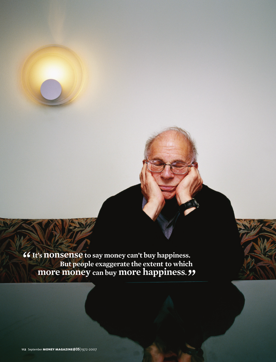**It's nonsense to say money can't buy happiness.** *But people exaggerate the extent to which*  **more money can buy more happiness. " "**